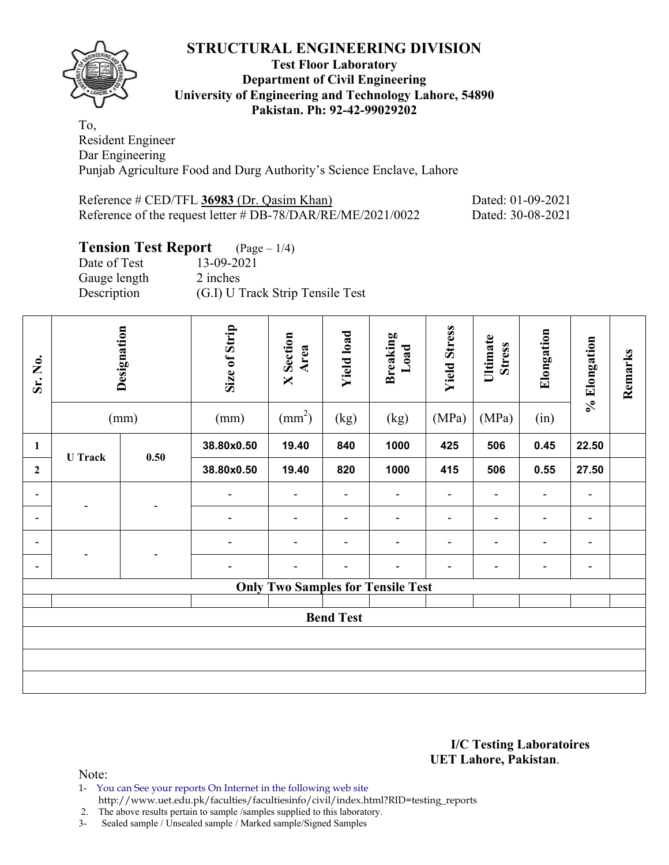

#### **Test Floor Laboratory Department of Civil Engineering University of Engineering and Technology Lahore, 54890 Pakistan. Ph: 92-42-99029202**

To, Resident Engineer Dar Engineering Punjab Agriculture Food and Durg Authority's Science Enclave, Lahore

| Reference $\#$ CED/TFL 36983 (Dr. Qasim Khan)               | Dated: 01-09-2021 |
|-------------------------------------------------------------|-------------------|
| Reference of the request letter # DB-78/DAR/RE/ME/2021/0022 | Dated: 30-08-2021 |

# **Tension Test Report** (Page – 1/4)

| Date of Test | 13-09-2021                       |
|--------------|----------------------------------|
| Gauge length | 2 inches                         |
| Description  | (G.I) U Track Strip Tensile Test |

| Sr. No.                                  | Designation<br>(mm) |      | Size of Strip<br>(mm) | <b>X</b> Section<br>Area<br>$\text{(mm}^2)$ | <b>Yield load</b><br>(kg) | <b>Breaking</b><br>Load<br>(kg) | <b>Yield Stress</b><br>(MPa) | Ultimate<br><b>Stress</b><br>(MPa) | Elongation<br>(in)       | % Elongation | Remarks |
|------------------------------------------|---------------------|------|-----------------------|---------------------------------------------|---------------------------|---------------------------------|------------------------------|------------------------------------|--------------------------|--------------|---------|
| $\mathbf{1}$                             |                     |      | 38.80x0.50            | 19.40                                       | 840                       | 1000                            | 425                          | 506                                | 0.45                     | 22.50        |         |
| $\mathbf{2}$                             | <b>U</b> Track      | 0.50 | 38.80x0.50            | 19.40                                       | 820                       | 1000                            | 415                          | 506                                | 0.55                     | 27.50        |         |
| -                                        |                     |      | $\overline{a}$        |                                             |                           | ۰                               | ÷                            | $\overline{\phantom{0}}$           |                          | -            |         |
| -                                        |                     |      |                       |                                             |                           |                                 | $\blacksquare$               | $\overline{\phantom{a}}$           |                          | -            |         |
| $\blacksquare$                           |                     |      | -                     | $\blacksquare$                              | $\blacksquare$            | ۰                               | $\blacksquare$               | $\blacksquare$                     | $\blacksquare$           | ۰            |         |
| Ξ.                                       |                     |      | -                     |                                             |                           | -                               | $\overline{a}$               | $\blacksquare$                     | $\overline{\phantom{0}}$ | -            |         |
| <b>Only Two Samples for Tensile Test</b> |                     |      |                       |                                             |                           |                                 |                              |                                    |                          |              |         |
| <b>Bend Test</b>                         |                     |      |                       |                                             |                           |                                 |                              |                                    |                          |              |         |
|                                          |                     |      |                       |                                             |                           |                                 |                              |                                    |                          |              |         |
|                                          |                     |      |                       |                                             |                           |                                 |                              |                                    |                          |              |         |
|                                          |                     |      |                       |                                             |                           |                                 |                              |                                    |                          |              |         |

#### **I/C Testing Laboratoires UET Lahore, Pakistan**.

Note:

- 1- You can See your reports On Internet in the following web site
	- http://www.uet.edu.pk/faculties/facultiesinfo/civil/index.html?RID=testing\_reports

2. The above results pertain to sample /samples supplied to this laboratory.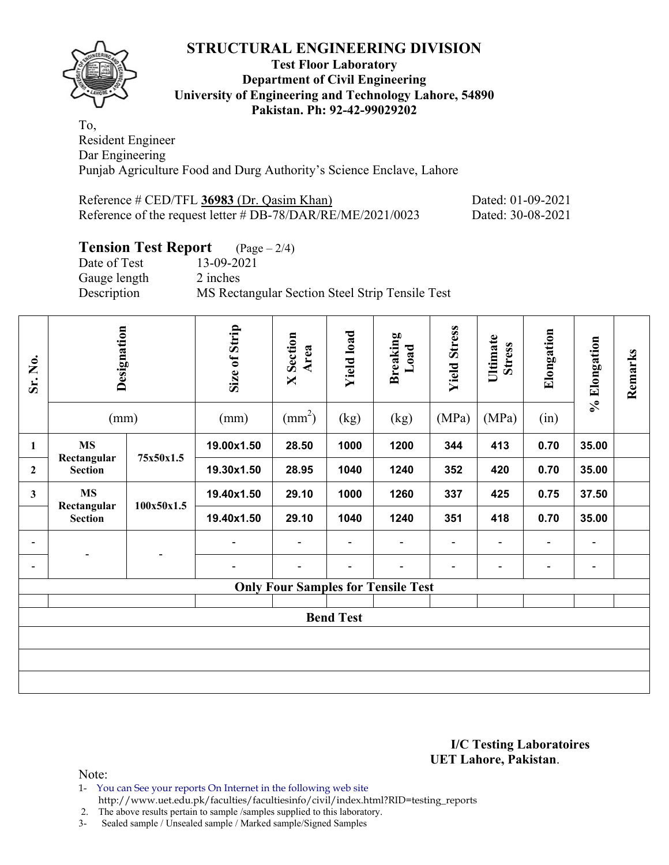

#### **Test Floor Laboratory Department of Civil Engineering University of Engineering and Technology Lahore, 54890 Pakistan. Ph: 92-42-99029202**

To, Resident Engineer Dar Engineering Punjab Agriculture Food and Durg Authority's Science Enclave, Lahore

| Reference # CED/TFL 36983 (Dr. Qasim Khan)                  | Dated: 01-09-2021 |
|-------------------------------------------------------------|-------------------|
| Reference of the request letter # DB-78/DAR/RE/ME/2021/0023 | Dated: 30-08-2021 |

### **Tension Test Report** (Page – 2/4)

Date of Test 13-09-2021 Gauge length 2 inches Description MS Rectangular Section Steel Strip Tensile Test

| Sr. No.          | Designation<br>(mm)                       |            | Size of Strip<br>(mm) | <b>X</b> Section<br>Area<br>$\text{(mm}^2)$ | <b>Yield load</b><br>(kg) | Breaking<br>Load<br>(kg) | <b>Yield Stress</b><br>(MPa) | Ultimate<br><b>Stress</b><br>(MPa) | Elongation<br>(in) | % Elongation   | Remarks |
|------------------|-------------------------------------------|------------|-----------------------|---------------------------------------------|---------------------------|--------------------------|------------------------------|------------------------------------|--------------------|----------------|---------|
| 1                | <b>MS</b>                                 |            | 19.00x1.50            | 28.50                                       | 1000                      | 1200                     | 344                          | 413                                | 0.70               | 35.00          |         |
| $\mathbf{2}$     | Rectangular<br><b>Section</b>             | 75x50x1.5  | 19.30x1.50            | 28.95                                       | 1040                      | 1240                     | 352                          | 420                                | 0.70               | 35.00          |         |
| $\mathbf{3}$     | <b>MS</b><br>Rectangular                  |            | 19.40x1.50            | 29.10                                       | 1000                      | 1260                     | 337                          | 425                                | 0.75               | 37.50          |         |
|                  | <b>Section</b>                            | 100x50x1.5 | 19.40x1.50            | 29.10                                       | 1040                      | 1240                     | 351                          | 418                                | 0.70               | 35.00          |         |
|                  |                                           |            | $\blacksquare$        | ۰                                           | $\blacksquare$            | $\blacksquare$           | $\overline{\phantom{a}}$     | $\blacksquare$                     | $\blacksquare$     | $\blacksquare$ |         |
| ۰                |                                           |            | $\blacksquare$        |                                             | ۰                         | -                        | $\overline{\phantom{a}}$     | $\overline{\phantom{0}}$           |                    | $\blacksquare$ |         |
|                  | <b>Only Four Samples for Tensile Test</b> |            |                       |                                             |                           |                          |                              |                                    |                    |                |         |
| <b>Bend Test</b> |                                           |            |                       |                                             |                           |                          |                              |                                    |                    |                |         |
|                  |                                           |            |                       |                                             |                           |                          |                              |                                    |                    |                |         |
|                  |                                           |            |                       |                                             |                           |                          |                              |                                    |                    |                |         |
|                  |                                           |            |                       |                                             |                           |                          |                              |                                    |                    |                |         |

#### **I/C Testing Laboratoires UET Lahore, Pakistan**.

Note:

1- You can See your reports On Internet in the following web site

 http://www.uet.edu.pk/faculties/facultiesinfo/civil/index.html?RID=testing\_reports 2. The above results pertain to sample /samples supplied to this laboratory.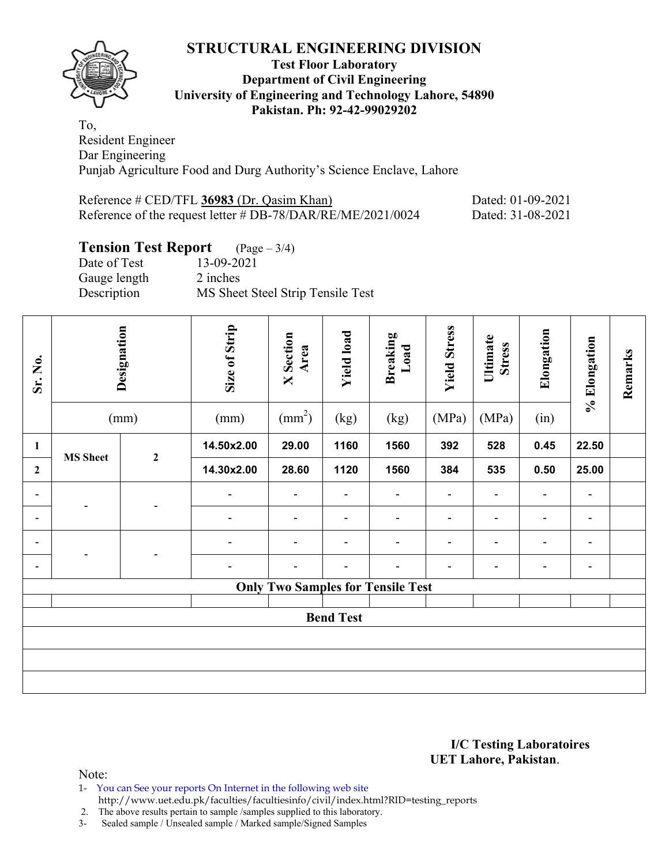

#### **Test Floor Laboratory Department of Civil Engineering University of Engineering and Technology Lahore, 54890 Pakistan. Ph: 92-42-99029202**

To, Resident Engineer Dar Engineering Punjab Agriculture Food and Durg Authority's Science Enclave, Lahore

| Reference $\#$ CED/TFL 36983 (Dr. Qasim Khan)               | Dated: 01-09-2021 |
|-------------------------------------------------------------|-------------------|
| Reference of the request letter # DB-78/DAR/RE/ME/2021/0024 | Dated: 31-08-2021 |

# **Tension Test Report** (Page – 3/4)

| Date of Test | 13-09-2021                        |
|--------------|-----------------------------------|
| Gauge length | 2 inches                          |
| Description  | MS Sheet Steel Strip Tensile Test |

| Sr. No.                                  | Designation<br>(mm) |                  | Size of Strip<br>(mm) | <b>X</b> Section<br>Area<br>$\text{(mm}^2)$ | <b>Yield load</b><br>(kg) | <b>Breaking</b><br>Load<br>(kg) | <b>Yield Stress</b><br>(MPa) | Ultimate<br><b>Stress</b><br>(MPa) | Elongation<br>(in)       | % Elongation | Remarks |
|------------------------------------------|---------------------|------------------|-----------------------|---------------------------------------------|---------------------------|---------------------------------|------------------------------|------------------------------------|--------------------------|--------------|---------|
| $\mathbf{1}$                             |                     |                  | 14.50x2.00            | 29.00                                       | 1160                      | 1560                            | 392                          | 528                                | 0.45                     | 22.50        |         |
| $\mathbf{2}$                             | <b>MS</b> Sheet     | $\boldsymbol{2}$ | 14.30x2.00            | 28.60                                       | 1120                      | 1560                            | 384                          | 535                                | 0.50                     | 25.00        |         |
| $\blacksquare$                           |                     |                  | $\blacksquare$        |                                             |                           | ۰                               | $\blacksquare$               | $\blacksquare$                     |                          | -            |         |
| -                                        |                     |                  | -                     |                                             |                           | ۰                               | $\blacksquare$               | -                                  |                          | ۰            |         |
| $\blacksquare$                           |                     |                  | ÷,                    | $\blacksquare$                              | $\blacksquare$            | $\blacksquare$                  | $\blacksquare$               | $\blacksquare$                     | $\blacksquare$           | -            |         |
| $\blacksquare$                           |                     |                  | -                     |                                             |                           | ۰                               | $\blacksquare$               | $\blacksquare$                     | $\overline{\phantom{0}}$ | -            |         |
| <b>Only Two Samples for Tensile Test</b> |                     |                  |                       |                                             |                           |                                 |                              |                                    |                          |              |         |
| <b>Bend Test</b>                         |                     |                  |                       |                                             |                           |                                 |                              |                                    |                          |              |         |
|                                          |                     |                  |                       |                                             |                           |                                 |                              |                                    |                          |              |         |
|                                          |                     |                  |                       |                                             |                           |                                 |                              |                                    |                          |              |         |
|                                          |                     |                  |                       |                                             |                           |                                 |                              |                                    |                          |              |         |

#### **I/C Testing Laboratoires UET Lahore, Pakistan**.

Note:

- 1- You can See your reports On Internet in the following web site
	- http://www.uet.edu.pk/faculties/facultiesinfo/civil/index.html?RID=testing\_reports

2. The above results pertain to sample /samples supplied to this laboratory.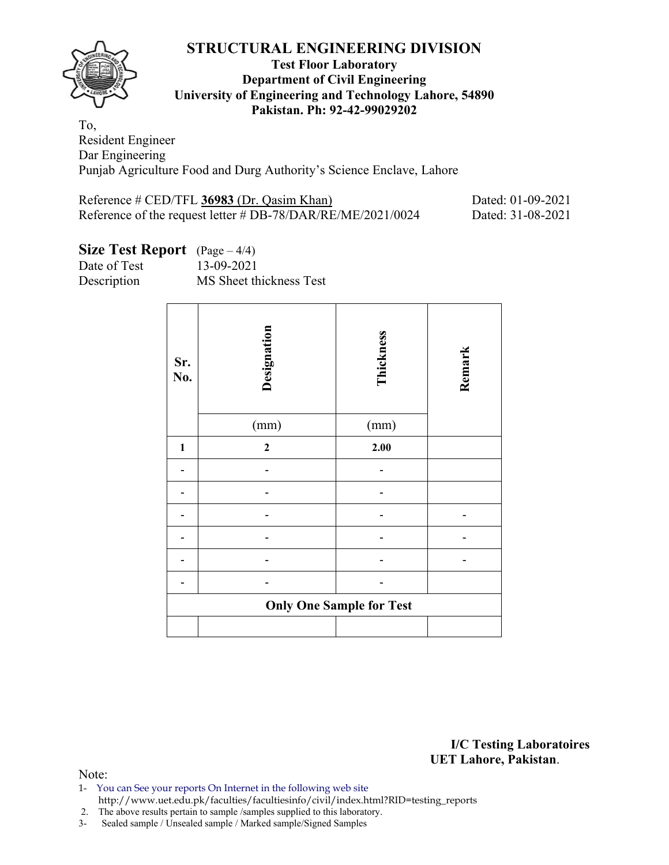

#### **Test Floor Laboratory Department of Civil Engineering University of Engineering and Technology Lahore, 54890 Pakistan. Ph: 92-42-99029202**

To, Resident Engineer Dar Engineering Punjab Agriculture Food and Durg Authority's Science Enclave, Lahore

| Reference $\#$ CED/TFL 36983 (Dr. Qasim Khan)               | Dated: 01-09-2021 |
|-------------------------------------------------------------|-------------------|
| Reference of the request letter # DB-78/DAR/RE/ME/2021/0024 | Dated: 31-08-2021 |

# **Size Test Report** (Page – 4/4)

Date of Test 13-09-2021

Description MS Sheet thickness Test

| Sr.<br>No.   | Designation<br>(mm) | Thickness<br>(mm)               | Remark |
|--------------|---------------------|---------------------------------|--------|
| $\mathbf{1}$ | $\mathbf{2}$        | 2.00                            |        |
|              |                     |                                 |        |
|              |                     |                                 |        |
|              |                     |                                 |        |
|              |                     |                                 |        |
|              |                     |                                 |        |
|              |                     |                                 |        |
|              |                     | <b>Only One Sample for Test</b> |        |
|              |                     |                                 |        |

**I/C Testing Laboratoires UET Lahore, Pakistan**.

- 1- You can See your reports On Internet in the following web site http://www.uet.edu.pk/faculties/facultiesinfo/civil/index.html?RID=testing\_reports
- 2. The above results pertain to sample /samples supplied to this laboratory.
- 3- Sealed sample / Unsealed sample / Marked sample/Signed Samples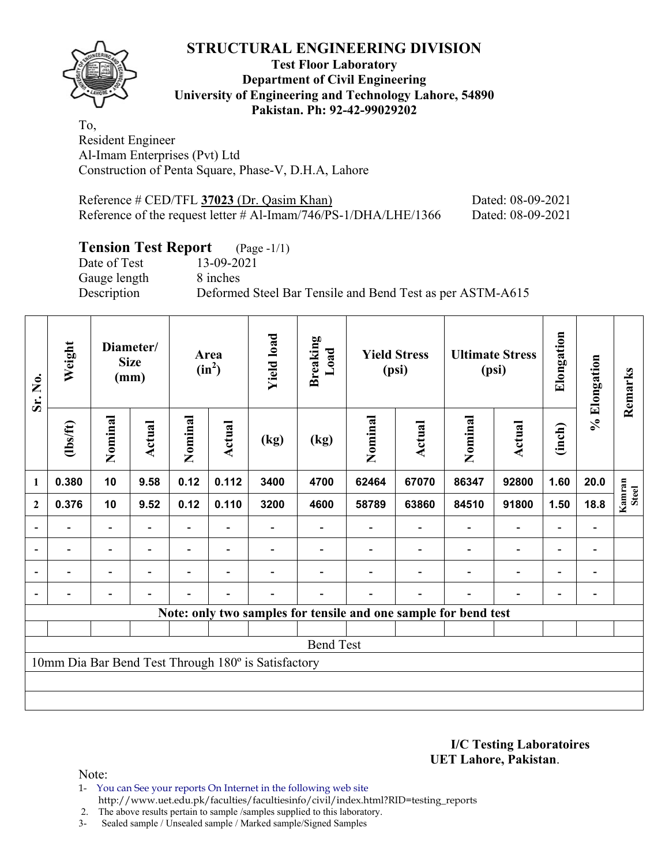

#### **Test Floor Laboratory Department of Civil Engineering University of Engineering and Technology Lahore, 54890 Pakistan. Ph: 92-42-99029202**

To, Resident Engineer Al-Imam Enterprises (Pvt) Ltd Construction of Penta Square, Phase-V, D.H.A, Lahore

| Reference $\#$ CED/TFL 37023 (Dr. Qasim Khan)                      | Dated: 08-09-2021 |
|--------------------------------------------------------------------|-------------------|
| Reference of the request letter $\#$ Al-Imam/746/PS-1/DHA/LHE/1366 | Dated: 08-09-2021 |

# **Tension Test Report** (Page -1/1)

Date of Test 13-09-2021 Gauge length 8 inches

Description Deformed Steel Bar Tensile and Bend Test as per ASTM-A615

| Sr. No.        | Weight                   |                          | Diameter/<br><b>Size</b><br>(mm) |         | Area<br>$(in^2)$         | <b>Yield load</b>                                   | <b>Breaking</b><br>Load | <b>Yield Stress</b><br>(psi) |                                                                 |         | <b>Ultimate Stress</b><br>(psi) | Elongation               | % Elongation                 | Remarks                |
|----------------|--------------------------|--------------------------|----------------------------------|---------|--------------------------|-----------------------------------------------------|-------------------------|------------------------------|-----------------------------------------------------------------|---------|---------------------------------|--------------------------|------------------------------|------------------------|
|                | (1bs/ft)                 | Nominal                  | <b>Actual</b>                    | Nominal | Actual                   | (kg)                                                | (kg)                    | Nominal                      | Actual                                                          | Nominal | Actual                          | (inch)                   |                              |                        |
| $\mathbf{1}$   | 0.380                    | 10                       | 9.58                             | 0.12    | 0.112                    | 3400                                                | 4700                    | 62464                        | 67070                                                           | 86347   | 92800                           | 1.60                     | 20.0                         |                        |
| $\mathbf{2}$   | 0.376                    | 10                       | 9.52                             | 0.12    | 0.110                    | 3200                                                | 4600                    | 58789                        | 63860                                                           | 84510   | 91800                           | 1.50                     | 18.8                         | Kamran<br><b>Steel</b> |
| $\overline{a}$ |                          | $\overline{\phantom{0}}$ |                                  |         |                          |                                                     |                         |                              |                                                                 |         |                                 |                          | $\qquad \qquad \blacksquare$ |                        |
| $\blacksquare$ | $\overline{\phantom{a}}$ | $\overline{\phantom{0}}$ |                                  | Ξ.      | $\overline{\phantom{a}}$ |                                                     |                         |                              |                                                                 |         | $\overline{\phantom{0}}$        | $\blacksquare$           | $\qquad \qquad \blacksquare$ |                        |
| $\blacksquare$ | $\overline{\phantom{0}}$ | $\overline{\phantom{0}}$ | $\blacksquare$                   | -       | $\overline{\phantom{a}}$ |                                                     |                         |                              |                                                                 |         | $\overline{\phantom{0}}$        | $\overline{\phantom{0}}$ | $\qquad \qquad \blacksquare$ |                        |
|                |                          | $\overline{\phantom{0}}$ |                                  |         | $\overline{\phantom{0}}$ |                                                     |                         |                              |                                                                 |         |                                 |                          |                              |                        |
|                |                          |                          |                                  |         |                          |                                                     |                         |                              | Note: only two samples for tensile and one sample for bend test |         |                                 |                          |                              |                        |
|                |                          |                          |                                  |         |                          |                                                     |                         |                              |                                                                 |         |                                 |                          |                              |                        |
|                |                          |                          |                                  |         |                          |                                                     | <b>Bend Test</b>        |                              |                                                                 |         |                                 |                          |                              |                        |
|                |                          |                          |                                  |         |                          | 10mm Dia Bar Bend Test Through 180° is Satisfactory |                         |                              |                                                                 |         |                                 |                          |                              |                        |
|                |                          |                          |                                  |         |                          |                                                     |                         |                              |                                                                 |         |                                 |                          |                              |                        |
|                |                          |                          |                                  |         |                          |                                                     |                         |                              |                                                                 |         |                                 |                          |                              |                        |

**I/C Testing Laboratoires UET Lahore, Pakistan**.

Note:

1- You can See your reports On Internet in the following web site http://www.uet.edu.pk/faculties/facultiesinfo/civil/index.html?RID=testing\_reports

2. The above results pertain to sample /samples supplied to this laboratory.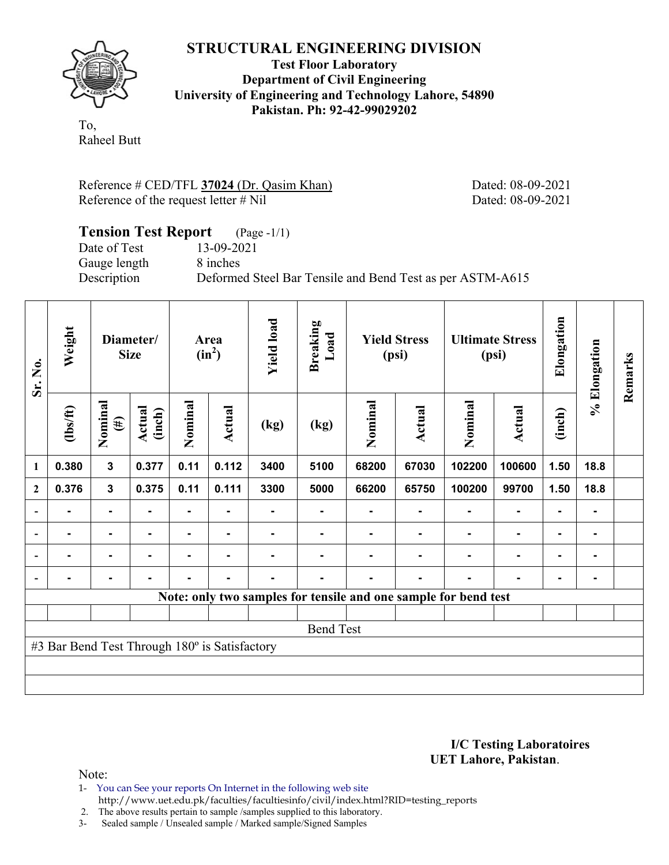

**Test Floor Laboratory Department of Civil Engineering University of Engineering and Technology Lahore, 54890 Pakistan. Ph: 92-42-99029202** 

To, Raheel Butt

Reference # CED/TFL **37024** (Dr. Qasim Khan) Dated: 08-09-2021 Reference of the request letter # Nil Dated: 08-09-2021

#### **Tension Test Report** (Page -1/1) Date of Test 13-09-2021 Gauge length 8 inches Description Deformed Steel Bar Tensile and Bend Test as per ASTM-A615

| Sr. No.                  | Weight                                        |                   | Diameter/<br><b>Size</b> | Area<br>$(in^2)$ |        | <b>Yield load</b> | <b>Breaking</b><br>Load | <b>Yield Stress</b><br>(psi) |        | <b>Ultimate Stress</b><br>(psi)                                 |                | Elongation | % Elongation | Remarks |
|--------------------------|-----------------------------------------------|-------------------|--------------------------|------------------|--------|-------------------|-------------------------|------------------------------|--------|-----------------------------------------------------------------|----------------|------------|--------------|---------|
| 1                        | $\frac{2}{10}$                                | Nominal<br>$(\#)$ | Actual<br>(inch)         | Nominal          | Actual | (kg)              | (kg)                    | Nominal                      | Actual | Nominal                                                         | <b>Actual</b>  | (inch)     |              |         |
|                          | 0.380                                         | $\mathbf{3}$      | 0.377                    | 0.11             | 0.112  | 3400              | 5100                    | 68200                        | 67030  | 102200                                                          | 100600         | 1.50       | 18.8         |         |
| $\overline{2}$           | 0.376                                         | $\mathbf{3}$      | 0.375                    | 0.11             | 0.111  | 3300              | 5000                    | 66200                        | 65750  | 100200                                                          | 99700          | 1.50       | 18.8         |         |
|                          |                                               | ٠                 |                          | Ξ.               |        |                   |                         |                              |        |                                                                 | $\blacksquare$ |            | ۰            |         |
| $\overline{\phantom{a}}$ |                                               | $\blacksquare$    |                          |                  |        |                   |                         |                              |        |                                                                 |                |            | ۰            |         |
| $\overline{\phantom{a}}$ |                                               | ٠                 |                          |                  |        |                   |                         |                              |        |                                                                 |                |            | ۰            |         |
| $\blacksquare$           | -                                             | $\blacksquare$    |                          |                  |        |                   |                         |                              |        |                                                                 |                |            | ۰            |         |
|                          |                                               |                   |                          |                  |        |                   |                         |                              |        | Note: only two samples for tensile and one sample for bend test |                |            |              |         |
|                          |                                               |                   |                          |                  |        |                   |                         |                              |        |                                                                 |                |            |              |         |
|                          |                                               |                   |                          |                  |        |                   | <b>Bend Test</b>        |                              |        |                                                                 |                |            |              |         |
|                          | #3 Bar Bend Test Through 180° is Satisfactory |                   |                          |                  |        |                   |                         |                              |        |                                                                 |                |            |              |         |
|                          |                                               |                   |                          |                  |        |                   |                         |                              |        |                                                                 |                |            |              |         |
|                          |                                               |                   |                          |                  |        |                   |                         |                              |        |                                                                 |                |            |              |         |

**I/C Testing Laboratoires UET Lahore, Pakistan**.

Note:

1- You can See your reports On Internet in the following web site http://www.uet.edu.pk/faculties/facultiesinfo/civil/index.html?RID=testing\_reports

2. The above results pertain to sample /samples supplied to this laboratory.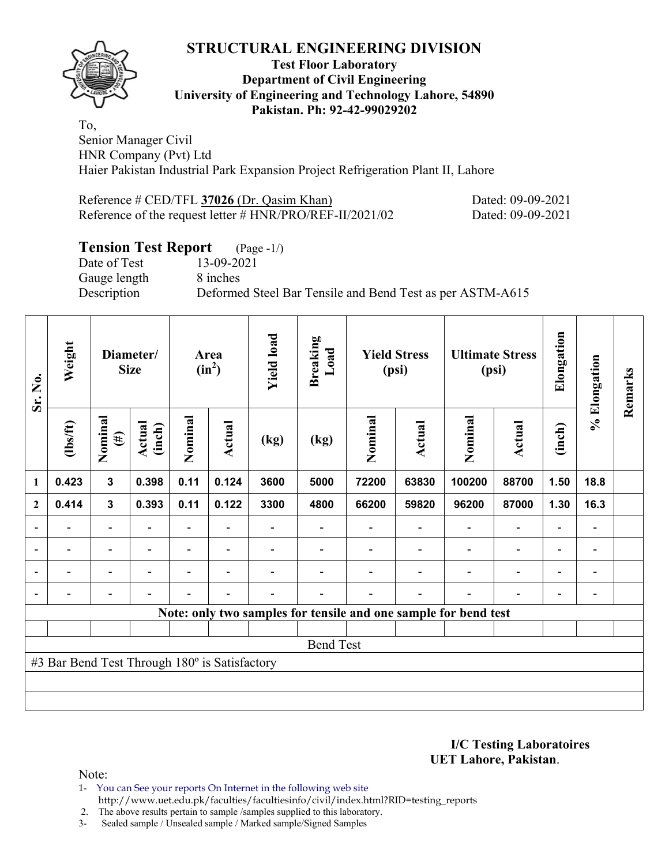

#### **Test Floor Laboratory Department of Civil Engineering University of Engineering and Technology Lahore, 54890 Pakistan. Ph: 92-42-99029202**

To, Senior Manager Civil HNR Company (Pvt) Ltd Haier Pakistan Industrial Park Expansion Project Refrigeration Plant II, Lahore

| Reference $\#$ CED/TFL 37026 (Dr. Qasim Khan)               | Dated: 09-09-2021 |
|-------------------------------------------------------------|-------------------|
| Reference of the request letter $\#$ HNR/PRO/REF-II/2021/02 | Dated: 09-09-2021 |

### **Tension Test Report** (Page -1/)

Date of Test 13-09-2021 Gauge length 8 inches

Description Deformed Steel Bar Tensile and Bend Test as per ASTM-A615

| Sr. No.<br>$\mathbf{1}$  | Weight                                        | Diameter/<br><b>Size</b> |                          | Area<br>$(in^2)$         |                          | <b>Yield load</b> | <b>Breaking</b><br>Load | <b>Yield Stress</b><br>(psi) |        | <b>Ultimate Stress</b><br>(psi)                                 |                          | Elongation               | % Elongation                 | Remarks |
|--------------------------|-----------------------------------------------|--------------------------|--------------------------|--------------------------|--------------------------|-------------------|-------------------------|------------------------------|--------|-----------------------------------------------------------------|--------------------------|--------------------------|------------------------------|---------|
|                          | $\frac{2}{10}$                                | Nominal<br>$(\#)$        | Actual<br>(inch)         | Nominal                  | <b>Actual</b>            | (kg)              | (kg)                    | Nominal                      | Actual | Nominal                                                         | <b>Actual</b>            | (inch)                   |                              |         |
|                          | 0.423                                         | 3                        | 0.398                    | 0.11                     | 0.124                    | 3600              | 5000                    | 72200                        | 63830  | 100200                                                          | 88700                    | 1.50                     | 18.8                         |         |
| $\mathbf{2}$             | 0.414                                         | $\mathbf{3}$             | 0.393                    | 0.11                     | 0.122                    | 3300              | 4800                    | 66200                        | 59820  | 96200                                                           | 87000                    | 1.30                     | 16.3                         |         |
|                          |                                               | $\overline{\phantom{0}}$ |                          |                          |                          |                   |                         |                              |        |                                                                 |                          |                          | -                            |         |
| $\overline{\phantom{a}}$ | $\overline{\phantom{a}}$                      | $\overline{\phantom{0}}$ | $\blacksquare$           |                          | $\overline{\phantom{a}}$ |                   |                         |                              |        |                                                                 | $\overline{\phantom{0}}$ | $\blacksquare$           | $\qquad \qquad \blacksquare$ |         |
| $\blacksquare$           | $\overline{\phantom{0}}$                      | $\overline{\phantom{0}}$ |                          | $\overline{\phantom{0}}$ | $\overline{\phantom{0}}$ |                   |                         |                              |        |                                                                 | $\overline{\phantom{0}}$ | $\overline{\phantom{0}}$ | $\qquad \qquad \blacksquare$ |         |
| $\blacksquare$           |                                               | -                        | $\overline{\phantom{0}}$ | $\overline{\phantom{0}}$ | $\blacksquare$           |                   |                         |                              |        |                                                                 | $\overline{\phantom{0}}$ | $\overline{\phantom{0}}$ | $\overline{a}$               |         |
|                          |                                               |                          |                          |                          |                          |                   |                         |                              |        | Note: only two samples for tensile and one sample for bend test |                          |                          |                              |         |
|                          |                                               |                          |                          |                          |                          |                   |                         |                              |        |                                                                 |                          |                          |                              |         |
|                          |                                               |                          |                          |                          |                          |                   | <b>Bend Test</b>        |                              |        |                                                                 |                          |                          |                              |         |
|                          | #3 Bar Bend Test Through 180° is Satisfactory |                          |                          |                          |                          |                   |                         |                              |        |                                                                 |                          |                          |                              |         |
|                          |                                               |                          |                          |                          |                          |                   |                         |                              |        |                                                                 |                          |                          |                              |         |
|                          |                                               |                          |                          |                          |                          |                   |                         |                              |        |                                                                 |                          |                          |                              |         |

**I/C Testing Laboratoires UET Lahore, Pakistan**.

Note:

1- You can See your reports On Internet in the following web site http://www.uet.edu.pk/faculties/facultiesinfo/civil/index.html?RID=testing\_reports

2. The above results pertain to sample /samples supplied to this laboratory.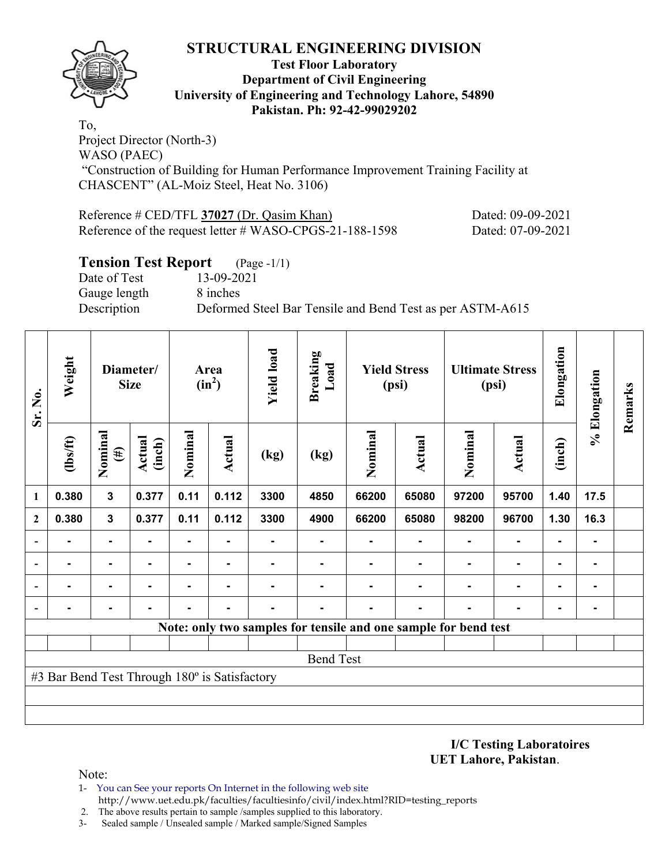

#### **Test Floor Laboratory Department of Civil Engineering University of Engineering and Technology Lahore, 54890 Pakistan. Ph: 92-42-99029202**

To, Project Director (North-3) WASO (PAEC) "Construction of Building for Human Performance Improvement Training Facility at CHASCENT" (AL-Moiz Steel, Heat No. 3106)

| Reference $\#$ CED/TFL 37027 (Dr. Qasim Khan)           | Dated: 09-09-2021 |
|---------------------------------------------------------|-------------------|
| Reference of the request letter # WASO-CPGS-21-188-1598 | Dated: 07-09-2021 |

### **Tension Test Report** (Page -1/1)

Date of Test 13-09-2021 Gauge length 8 inches

Description Deformed Steel Bar Tensile and Bend Test as per ASTM-A615

| Sr. No.      | Weight                                        |                   | Diameter/<br><b>Size</b> | <b>Yield load</b><br><b>Breaking</b><br>Area<br>$(in^2)$ |               | Load           | <b>Yield Stress</b><br>(psi)                                    |                | <b>Ultimate Stress</b><br>(psi) |         | Elongation     | % Elongation | Remarks        |  |
|--------------|-----------------------------------------------|-------------------|--------------------------|----------------------------------------------------------|---------------|----------------|-----------------------------------------------------------------|----------------|---------------------------------|---------|----------------|--------------|----------------|--|
|              | $\frac{2}{10}$                                | Nominal<br>$(\#)$ | Actual<br>(inch)         | Nominal                                                  | <b>Actual</b> | (kg)           | (kg)                                                            | Nominal        | <b>Actual</b>                   | Nominal | Actual         | (inch)       |                |  |
| 1            | 0.380                                         | $\mathbf{3}$      | 0.377                    | 0.11                                                     | 0.112         | 3300           | 4850                                                            | 66200          | 65080                           | 97200   | 95700          | 1.40         | 17.5           |  |
| $\mathbf{2}$ | 0.380                                         | $\mathbf{3}$      | 0.377                    | 0.11                                                     | 0.112         | 3300           | 4900                                                            | 66200          | 65080                           | 98200   | 96700          | 1.30         | 16.3           |  |
|              |                                               | $\blacksquare$    |                          |                                                          | ٠             | $\blacksquare$ | ۰                                                               | $\blacksquare$ |                                 |         | $\blacksquare$ |              | ۰              |  |
|              |                                               | ۰                 |                          |                                                          |               |                |                                                                 |                |                                 |         |                |              | $\blacksquare$ |  |
|              |                                               | ۰                 |                          |                                                          |               |                |                                                                 |                |                                 |         |                |              | ۰              |  |
|              |                                               |                   |                          |                                                          |               |                |                                                                 |                |                                 |         |                |              |                |  |
|              |                                               |                   |                          |                                                          |               |                | Note: only two samples for tensile and one sample for bend test |                |                                 |         |                |              |                |  |
|              |                                               |                   |                          |                                                          |               |                |                                                                 |                |                                 |         |                |              |                |  |
|              |                                               |                   |                          |                                                          |               |                | <b>Bend Test</b>                                                |                |                                 |         |                |              |                |  |
|              | #3 Bar Bend Test Through 180° is Satisfactory |                   |                          |                                                          |               |                |                                                                 |                |                                 |         |                |              |                |  |
|              |                                               |                   |                          |                                                          |               |                |                                                                 |                |                                 |         |                |              |                |  |
|              |                                               |                   |                          |                                                          |               |                |                                                                 |                |                                 |         |                |              |                |  |

**I/C Testing Laboratoires UET Lahore, Pakistan**.

- 1- You can See your reports On Internet in the following web site http://www.uet.edu.pk/faculties/facultiesinfo/civil/index.html?RID=testing\_reports
- 2. The above results pertain to sample /samples supplied to this laboratory.
- 3- Sealed sample / Unsealed sample / Marked sample/Signed Samples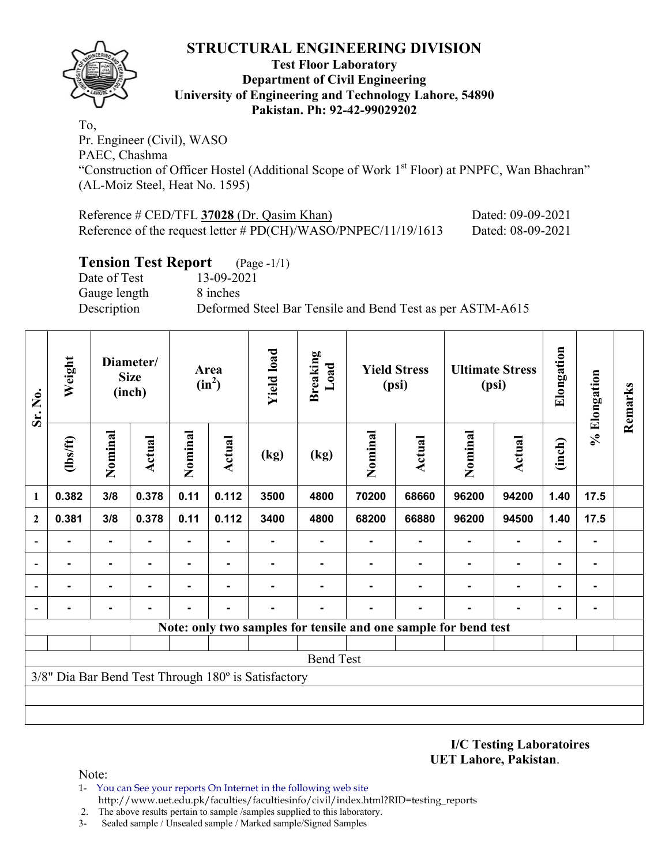

#### **Test Floor Laboratory Department of Civil Engineering University of Engineering and Technology Lahore, 54890 Pakistan. Ph: 92-42-99029202**

To, Pr. Engineer (Civil), WASO PAEC, Chashma "Construction of Officer Hostel (Additional Scope of Work 1<sup>st</sup> Floor) at PNPFC, Wan Bhachran" (AL-Moiz Steel, Heat No. 1595)

| Reference $\#$ CED/TFL 37028 (Dr. Qasim Khan)                    | Dated: 09-09-2021 |
|------------------------------------------------------------------|-------------------|
| Reference of the request letter # $PD(CH)/WASO/PNPEC/11/19/1613$ | Dated: 08-09-2021 |

### **Tension Test Report** (Page -1/1)

Date of Test 13-09-2021 Gauge length 8 inches

Description Deformed Steel Bar Tensile and Bend Test as per ASTM-A615

| Sr. No.                  | Weight                                              |                | Diameter/<br><b>Size</b><br>(inch) | Area<br>$(in^2)$ |               | <b>Yield load</b> | <b>Breaking</b><br>Load | <b>Yield Stress</b><br>(psi) |                                                                 | <b>Ultimate Stress</b><br>(psi) |               | Elongation     | % Elongation   | Remarks |
|--------------------------|-----------------------------------------------------|----------------|------------------------------------|------------------|---------------|-------------------|-------------------------|------------------------------|-----------------------------------------------------------------|---------------------------------|---------------|----------------|----------------|---------|
| $\mathbf{1}$             | $\frac{2}{10}$                                      | Nominal        | <b>Actual</b>                      | Nominal          | <b>Actual</b> | (kg)              | (kg)                    | Nominal                      | <b>Actual</b>                                                   | Nominal                         | <b>Actual</b> | (inch)         |                |         |
|                          | 0.382                                               | 3/8            | 0.378                              | 0.11             | 0.112         | 3500              | 4800                    | 70200                        | 68660                                                           | 96200                           | 94200         | 1.40           | 17.5           |         |
| $\overline{2}$           | 0.381                                               | 3/8            | 0.378                              | 0.11             | 0.112         | 3400              | 4800                    | 68200                        | 66880                                                           | 96200                           | 94500         | 1.40           | 17.5           |         |
| $\overline{\phantom{0}}$ |                                                     | $\blacksquare$ |                                    |                  |               |                   |                         |                              |                                                                 |                                 |               |                | $\blacksquare$ |         |
| $\overline{\phantom{a}}$ |                                                     | ٠              |                                    | $\blacksquare$   | ۰             |                   |                         |                              |                                                                 |                                 |               | ۰              | $\blacksquare$ |         |
| $\overline{\phantom{a}}$ | -                                                   | $\blacksquare$ |                                    |                  |               |                   |                         |                              |                                                                 |                                 |               | $\blacksquare$ | $\blacksquare$ |         |
| $\overline{\phantom{a}}$ | -                                                   | $\blacksquare$ |                                    |                  |               |                   |                         |                              |                                                                 | -                               |               |                |                |         |
|                          |                                                     |                |                                    |                  |               |                   |                         |                              | Note: only two samples for tensile and one sample for bend test |                                 |               |                |                |         |
|                          |                                                     |                |                                    |                  |               |                   |                         |                              |                                                                 |                                 |               |                |                |         |
|                          |                                                     |                |                                    |                  |               |                   | <b>Bend Test</b>        |                              |                                                                 |                                 |               |                |                |         |
|                          | 3/8" Dia Bar Bend Test Through 180° is Satisfactory |                |                                    |                  |               |                   |                         |                              |                                                                 |                                 |               |                |                |         |
|                          |                                                     |                |                                    |                  |               |                   |                         |                              |                                                                 |                                 |               |                |                |         |
|                          |                                                     |                |                                    |                  |               |                   |                         |                              |                                                                 |                                 |               |                |                |         |

**I/C Testing Laboratoires UET Lahore, Pakistan**.

Note:

1- You can See your reports On Internet in the following web site http://www.uet.edu.pk/faculties/facultiesinfo/civil/index.html?RID=testing\_reports

2. The above results pertain to sample /samples supplied to this laboratory.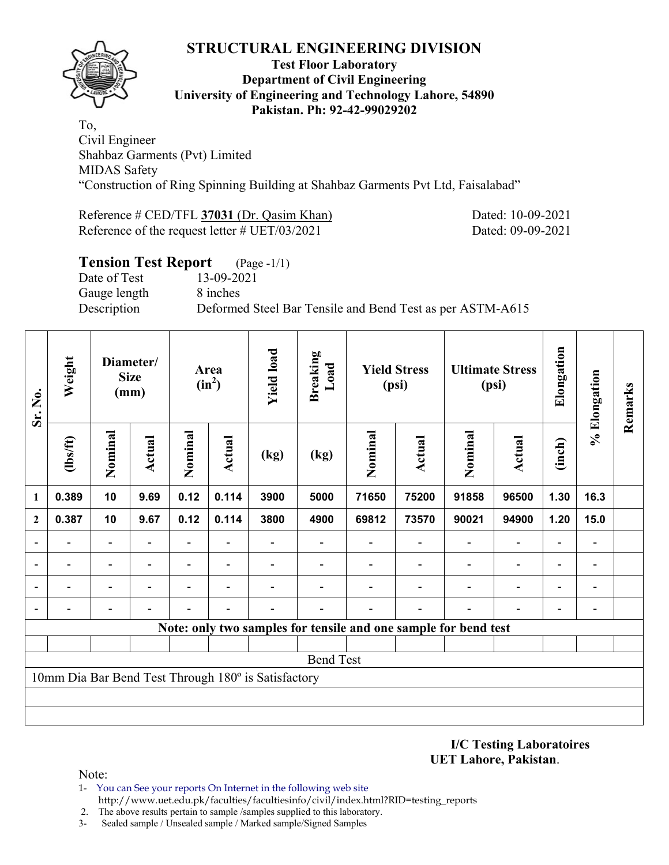

#### **Test Floor Laboratory Department of Civil Engineering University of Engineering and Technology Lahore, 54890 Pakistan. Ph: 92-42-99029202**

To, Civil Engineer Shahbaz Garments (Pvt) Limited MIDAS Safety "Construction of Ring Spinning Building at Shahbaz Garments Pvt Ltd, Faisalabad"

Reference # CED/TFL **37031** (Dr. Qasim Khan) Dated: 10-09-2021 Reference of the request letter # UET/03/2021 Dated: 09-09-2021

| <b>Tension Test Report</b> (Page -1/1) |                                                           |
|----------------------------------------|-----------------------------------------------------------|
| Date of Test                           | 13-09-2021                                                |
| Gauge length                           | 8 inches                                                  |
| Description                            | Deformed Steel Bar Tensile and Bend Test as per ASTM-A615 |
|                                        |                                                           |

| Weight                                              |                          |                          | Area<br>$(in^2)$                 |                          | <b>Yield load</b> | <b>Breaking</b><br>Load | <b>Yield Stress</b><br>(psi) |                          | <b>Ultimate Stress</b><br>(psi) |                          | Elongation                                                      |                          | Remarks      |
|-----------------------------------------------------|--------------------------|--------------------------|----------------------------------|--------------------------|-------------------|-------------------------|------------------------------|--------------------------|---------------------------------|--------------------------|-----------------------------------------------------------------|--------------------------|--------------|
| $\frac{2}{10}$                                      | Nominal                  | Actual                   | Nominal                          | Actual                   | (kg)              | (kg)                    | Nominal                      | <b>Actual</b>            | Nominal                         | <b>Actual</b>            | (inch)                                                          |                          |              |
| 0.389                                               | 10                       | 9.69                     | 0.12                             | 0.114                    | 3900              | 5000                    | 71650                        | 75200                    | 91858                           | 96500                    | 1.30                                                            | 16.3                     |              |
| 0.387                                               | 10                       | 9.67                     | 0.12                             | 0.114                    | 3800              | 4900                    | 69812                        | 73570                    | 90021                           | 94900                    | 1.20                                                            | 15.0                     |              |
|                                                     | $\overline{\phantom{0}}$ | $\blacksquare$           | Ξ.                               | $\overline{\phantom{a}}$ |                   |                         |                              | $\overline{\phantom{a}}$ | $\overline{\phantom{a}}$        | $\overline{\phantom{a}}$ | $\overline{\phantom{a}}$                                        | $\overline{\phantom{a}}$ |              |
|                                                     | $\overline{\phantom{0}}$ | $\overline{\phantom{0}}$ | $\overline{\phantom{0}}$         | $\overline{\phantom{0}}$ |                   |                         |                              |                          | $\overline{\phantom{0}}$        | $\overline{\phantom{0}}$ | $\overline{\phantom{a}}$                                        | -                        |              |
|                                                     | -                        |                          |                                  |                          |                   |                         |                              |                          |                                 | $\overline{\phantom{0}}$ | $\overline{\phantom{0}}$                                        | $\overline{a}$           |              |
|                                                     |                          |                          |                                  |                          |                   |                         |                              |                          |                                 | $\overline{a}$           | $\overline{\phantom{a}}$                                        | $\overline{a}$           |              |
|                                                     |                          |                          |                                  |                          |                   |                         |                              |                          |                                 |                          |                                                                 |                          |              |
|                                                     |                          |                          |                                  |                          |                   |                         |                              |                          |                                 |                          |                                                                 |                          |              |
|                                                     |                          |                          |                                  |                          |                   |                         |                              |                          |                                 |                          |                                                                 |                          |              |
| 10mm Dia Bar Bend Test Through 180° is Satisfactory |                          |                          |                                  |                          |                   |                         |                              |                          |                                 |                          |                                                                 |                          |              |
|                                                     |                          |                          |                                  |                          |                   |                         |                              |                          |                                 |                          |                                                                 |                          |              |
|                                                     |                          |                          |                                  |                          |                   |                         |                              |                          |                                 |                          |                                                                 |                          |              |
|                                                     |                          |                          | Diameter/<br><b>Size</b><br>(mm) |                          |                   |                         |                              | <b>Bend Test</b>         |                                 |                          | Note: only two samples for tensile and one sample for bend test |                          | % Elongation |

**I/C Testing Laboratoires UET Lahore, Pakistan**.

- 1- You can See your reports On Internet in the following web site http://www.uet.edu.pk/faculties/facultiesinfo/civil/index.html?RID=testing\_reports
- 2. The above results pertain to sample /samples supplied to this laboratory.
- 3- Sealed sample / Unsealed sample / Marked sample/Signed Samples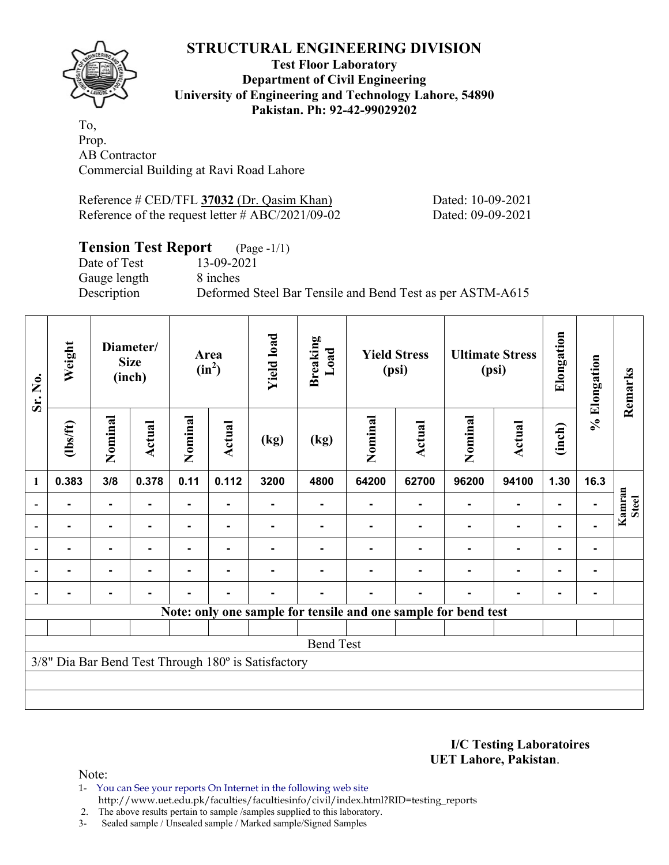

#### **Test Floor Laboratory Department of Civil Engineering University of Engineering and Technology Lahore, 54890 Pakistan. Ph: 92-42-99029202**

To, Prop. AB Contractor Commercial Building at Ravi Road Lahore

| Reference # CED/TFL 37032 (Dr. Qasim Khan)          | Dated: 10-09-2021 |
|-----------------------------------------------------|-------------------|
| Reference of the request letter $\# ABC/2021/09-02$ | Dated: 09-09-2021 |

### **Tension Test Report** (Page -1/1)

Date of Test 13-09-2021 Gauge length 8 inches

Description Deformed Steel Bar Tensile and Bend Test as per ASTM-A615

| Sr. No.                  | Weight                                              | Diameter/<br><b>Size</b><br>(inch) |        | Area<br>$(in^2)$ |                | <b>Yield load</b> | <b>Breaking</b><br>Load                                        | <b>Yield Stress</b><br>(psi) |               | <b>Ultimate Stress</b><br>(psi) |                | Elongation     | % Elongation | Remarks                |
|--------------------------|-----------------------------------------------------|------------------------------------|--------|------------------|----------------|-------------------|----------------------------------------------------------------|------------------------------|---------------|---------------------------------|----------------|----------------|--------------|------------------------|
|                          | $\frac{2}{10}$                                      | Nominal                            | Actual | Nominal          | Actual         | (kg)              | (kg)                                                           | Nominal                      | <b>Actual</b> | Nominal                         | Actual         | (inch)         |              |                        |
| $\mathbf{1}$             | 0.383                                               | 3/8                                | 0.378  | 0.11             | 0.112          | 3200              | 4800                                                           | 64200                        | 62700         | 96200                           | 94100          | 1.30           | 16.3         |                        |
| $\overline{\phantom{a}}$ |                                                     | $\blacksquare$                     |        |                  |                |                   |                                                                |                              |               |                                 |                |                |              | Kamran<br><b>Steel</b> |
| $\overline{\phantom{a}}$ | $\blacksquare$                                      | ٠.                                 |        |                  | $\blacksquare$ |                   |                                                                |                              |               |                                 | $\blacksquare$ | $\blacksquare$ |              |                        |
| $\overline{\phantom{a}}$ |                                                     | ۰                                  |        |                  |                |                   |                                                                |                              |               |                                 | $\blacksquare$ | $\blacksquare$ |              |                        |
| $\blacksquare$           | ۰.                                                  | Ξ.                                 |        | Ξ.               | $\blacksquare$ |                   |                                                                |                              |               |                                 | $\blacksquare$ | $\blacksquare$ |              |                        |
|                          |                                                     | $\blacksquare$                     |        | $\blacksquare$   | $\blacksquare$ |                   |                                                                |                              |               |                                 | ٠              | $\blacksquare$ |              |                        |
|                          |                                                     |                                    |        |                  |                |                   | Note: only one sample for tensile and one sample for bend test |                              |               |                                 |                |                |              |                        |
|                          |                                                     |                                    |        |                  |                |                   |                                                                |                              |               |                                 |                |                |              |                        |
|                          | <b>Bend Test</b>                                    |                                    |        |                  |                |                   |                                                                |                              |               |                                 |                |                |              |                        |
|                          | 3/8" Dia Bar Bend Test Through 180° is Satisfactory |                                    |        |                  |                |                   |                                                                |                              |               |                                 |                |                |              |                        |
|                          |                                                     |                                    |        |                  |                |                   |                                                                |                              |               |                                 |                |                |              |                        |

**I/C Testing Laboratoires UET Lahore, Pakistan**.

- 1- You can See your reports On Internet in the following web site http://www.uet.edu.pk/faculties/facultiesinfo/civil/index.html?RID=testing\_reports
- 2. The above results pertain to sample /samples supplied to this laboratory.
- 3- Sealed sample / Unsealed sample / Marked sample/Signed Samples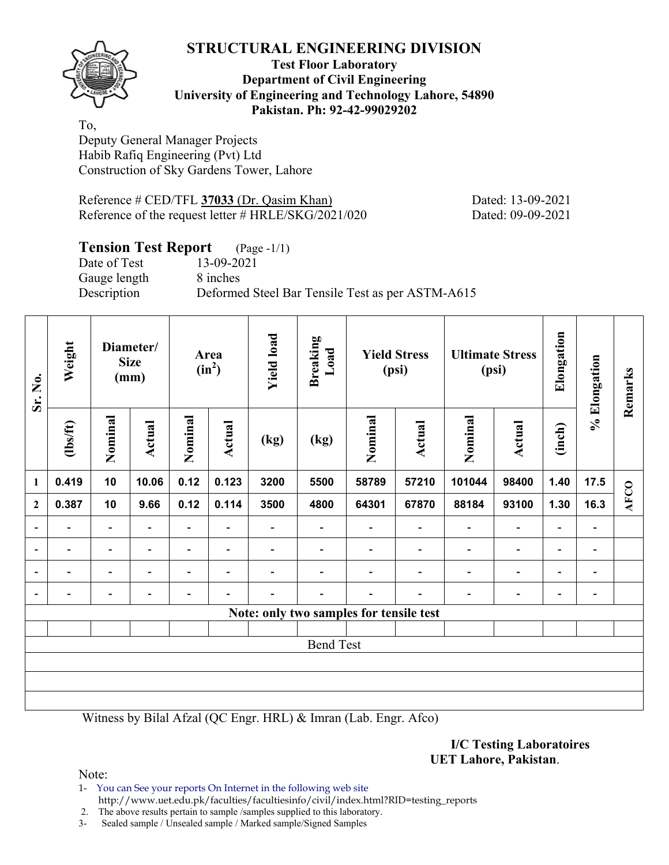

#### **Test Floor Laboratory Department of Civil Engineering University of Engineering and Technology Lahore, 54890 Pakistan. Ph: 92-42-99029202**

To, Deputy General Manager Projects Habib Rafiq Engineering (Pvt) Ltd Construction of Sky Gardens Tower, Lahore

Reference # CED/TFL 37033 (Dr. Qasim Khan) Dated: 13-09-2021 Reference of the request letter # HRLE/SKG/2021/020 Dated: 09-09-2021

### **Tension Test Report** (Page -1/1)

Gauge length 8 inches

Date of Test 13-09-2021 Description Deformed Steel Bar Tensile Test as per ASTM-A615

| Sr. No.                  | Weight                   | Diameter/<br><b>Size</b><br>(mm) |                          | Area<br>$(in^2)$ |                          | <b>Yield load</b>        | <b>Breaking</b><br>Load                 | <b>Yield Stress</b><br>(psi) |                          | <b>Ultimate Stress</b><br>(psi) |                | Elongation               | % Elongation                 | Remarks     |
|--------------------------|--------------------------|----------------------------------|--------------------------|------------------|--------------------------|--------------------------|-----------------------------------------|------------------------------|--------------------------|---------------------------------|----------------|--------------------------|------------------------------|-------------|
| $\mathbf{1}$             | $\frac{1}{10}$           | Nominal                          | Actual                   | Nominal          | Actual                   | (kg)                     | (kg)                                    | Nominal                      | Actual                   | Nominal                         | Actual         | (inch)                   |                              |             |
|                          | 0.419                    | 10                               | 10.06                    | 0.12             | 0.123                    | 3200                     | 5500                                    | 58789                        | 57210                    | 101044                          | 98400          | 1.40                     | 17.5                         |             |
| $\mathbf{2}$             | 0.387                    | 10                               | 9.66                     | 0.12             | 0.114                    | 3500                     | 4800                                    | 64301                        | 67870                    | 88184                           | 93100          | 1.30                     | 16.3                         | <b>AFCO</b> |
| $\blacksquare$           | $\overline{\phantom{0}}$ | $\overline{\phantom{a}}$         | $\blacksquare$           | $\blacksquare$   | $\overline{\phantom{a}}$ | $\overline{\phantom{0}}$ | $\overline{\phantom{a}}$                | $\overline{\phantom{a}}$     | $\overline{\phantom{0}}$ | $\blacksquare$                  | $\overline{a}$ | $\overline{\phantom{a}}$ | $\overline{\phantom{0}}$     |             |
| $\overline{a}$           | -                        | $\overline{\phantom{0}}$         | $\overline{\phantom{0}}$ | -                | $\blacksquare$           |                          |                                         |                              | $\overline{\phantom{0}}$ | $\overline{\phantom{a}}$        | $\overline{a}$ | -                        | $\qquad \qquad \blacksquare$ |             |
| $\overline{\phantom{a}}$ | -                        | $\overline{\phantom{0}}$         |                          | $\blacksquare$   | $\blacksquare$           | -                        |                                         |                              | ۰                        | $\overline{\phantom{0}}$        | $\overline{a}$ | $\overline{\phantom{a}}$ | $\overline{\phantom{0}}$     |             |
| $\blacksquare$           |                          | -                                |                          |                  |                          |                          |                                         |                              |                          |                                 | -              | -                        | $\qquad \qquad \blacksquare$ |             |
|                          |                          |                                  |                          |                  |                          |                          | Note: only two samples for tensile test |                              |                          |                                 |                |                          |                              |             |
|                          |                          |                                  |                          |                  |                          |                          |                                         |                              |                          |                                 |                |                          |                              |             |
|                          | <b>Bend Test</b>         |                                  |                          |                  |                          |                          |                                         |                              |                          |                                 |                |                          |                              |             |
|                          |                          |                                  |                          |                  |                          |                          |                                         |                              |                          |                                 |                |                          |                              |             |
|                          |                          |                                  |                          |                  |                          |                          |                                         |                              |                          |                                 |                |                          |                              |             |
|                          |                          |                                  |                          |                  |                          |                          |                                         |                              |                          |                                 |                |                          |                              |             |

Witness by Bilal Afzal (QC Engr. HRL) & Imran (Lab. Engr. Afco)

**I/C Testing Laboratoires UET Lahore, Pakistan**.

Note:

1- You can See your reports On Internet in the following web site http://www.uet.edu.pk/faculties/facultiesinfo/civil/index.html?RID=testing\_reports

2. The above results pertain to sample /samples supplied to this laboratory.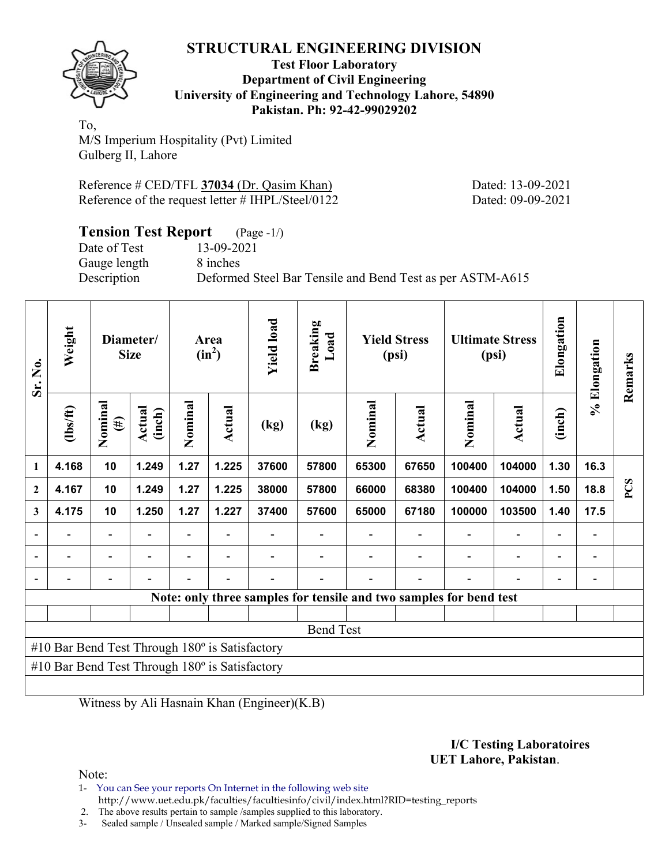

#### **Test Floor Laboratory Department of Civil Engineering University of Engineering and Technology Lahore, 54890 Pakistan. Ph: 92-42-99029202**

To, M/S Imperium Hospitality (Pvt) Limited Gulberg II, Lahore

Reference # CED/TFL **37034** (Dr. Qasim Khan) Dated: 13-09-2021 Reference of the request letter # IHPL/Steel/0122 Dated: 09-09-2021

| <b>Tension Test Report</b> (Page -1/) |                                                           |
|---------------------------------------|-----------------------------------------------------------|
| Date of Test                          | 13-09-2021                                                |
| Gauge length                          | 8 inches                                                  |
| Description                           | Deformed Steel Bar Tensile and Bend Test as per ASTM-A615 |

| Sr. No.                                                            | Weight         | Diameter/<br><b>Size</b> |                  | Area<br>$(in^2)$ |        | <b>Yield load</b> | <b>Breaking</b><br>Load | <b>Yield Stress</b><br>(psi) |               | <b>Ultimate Stress</b><br>(psi) |        | Elongation | % Elongation | Remarks |
|--------------------------------------------------------------------|----------------|--------------------------|------------------|------------------|--------|-------------------|-------------------------|------------------------------|---------------|---------------------------------|--------|------------|--------------|---------|
|                                                                    | $\frac{2}{10}$ | Nominal<br>$(\#)$        | Actual<br>(inch) | Nominal          | Actual | (kg)              | (kg)                    | Nominal                      | <b>Actual</b> | Nominal                         | Actual | (inch)     |              |         |
| $\mathbf{1}$                                                       | 4.168          | 10                       | 1.249            | 1.27             | 1.225  | 37600             | 57800                   | 65300                        | 67650         | 100400                          | 104000 | 1.30       | 16.3         |         |
| $\overline{2}$                                                     | 4.167          | 10                       | 1.249            | 1.27             | 1.225  | 38000             | 57800                   | 66000                        | 68380         | 100400                          | 104000 | 1.50       | 18.8         | PCS     |
| 3                                                                  | 4.175          | 10                       | 1.250            | 1.27             | 1.227  | 37400             | 57600                   | 65000                        | 67180         | 100000                          | 103500 | 1.40       | 17.5         |         |
|                                                                    |                | $\overline{\phantom{0}}$ |                  |                  |        |                   |                         |                              |               |                                 |        |            |              |         |
|                                                                    |                |                          |                  |                  |        |                   |                         |                              |               |                                 |        |            |              |         |
| $\blacksquare$                                                     |                | $\overline{a}$           |                  |                  |        |                   |                         |                              |               |                                 |        |            |              |         |
| Note: only three samples for tensile and two samples for bend test |                |                          |                  |                  |        |                   |                         |                              |               |                                 |        |            |              |         |
|                                                                    |                |                          |                  |                  |        |                   |                         |                              |               |                                 |        |            |              |         |
| <b>Bend Test</b>                                                   |                |                          |                  |                  |        |                   |                         |                              |               |                                 |        |            |              |         |
| #10 Bar Bend Test Through $180^\circ$ is Satisfactory              |                |                          |                  |                  |        |                   |                         |                              |               |                                 |        |            |              |         |
| #10 Bar Bend Test Through $180^\circ$ is Satisfactory              |                |                          |                  |                  |        |                   |                         |                              |               |                                 |        |            |              |         |
|                                                                    |                |                          |                  |                  |        |                   |                         |                              |               |                                 |        |            |              |         |

Witness by Ali Hasnain Khan (Engineer)(K.B)

#### **I/C Testing Laboratoires UET Lahore, Pakistan**.

Note:

1- You can See your reports On Internet in the following web site http://www.uet.edu.pk/faculties/facultiesinfo/civil/index.html?RID=testing\_reports

2. The above results pertain to sample /samples supplied to this laboratory.